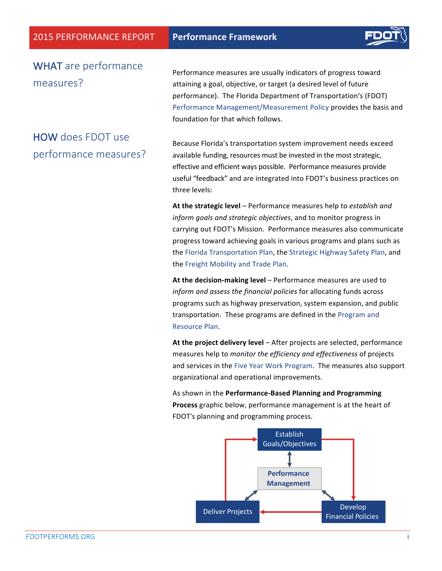

### WHAT are performance measures?

Performance measures are usually indicators of progress toward attaining a goal, objective, or target (a desired level of future performance). The Florida Department of Transportation's (FDOT) Performance Management/Measurement Policy provides the basis and foundation for that which follows.

# HOW does FDOT use performance measures?

Because Florida's transportation system improvement needs exceed available funding, resources must be invested in the most strategic, effective and efficient ways possible. Performance measures provide useful "feedback" and are integrated into FDOT's business practices on three levels:

At the strategic level – Performance measures help to *establish and* inform goals and strategic objectives, and to monitor progress in carrying out FDOT's Mission. Performance measures also communicate progress toward achieving goals in various programs and plans such as the Florida Transportation Plan, the Strategic Highway Safety Plan, and the Freight Mobility and Trade Plan.

**At the decision-making level** – Performance measures are used to inform and assess the financial policies for allocating funds across programs such as highway preservation, system expansion, and public transportation. These programs are defined in the Program and [Resource Plan.](http://www.dot.state.fl.us/OWPB/ProgramResourcePlan.shtm)

At the project delivery level – After projects are selected, performance measures help to *monitor the efficiency and effectiveness* of projects and services in the Five Year Work Program. The measures also support organizational and operational improvements.

As shown in the **Performance-Based Planning and Programming** Process graphic below, performance management is at the heart of FDOT's planning and programming process.